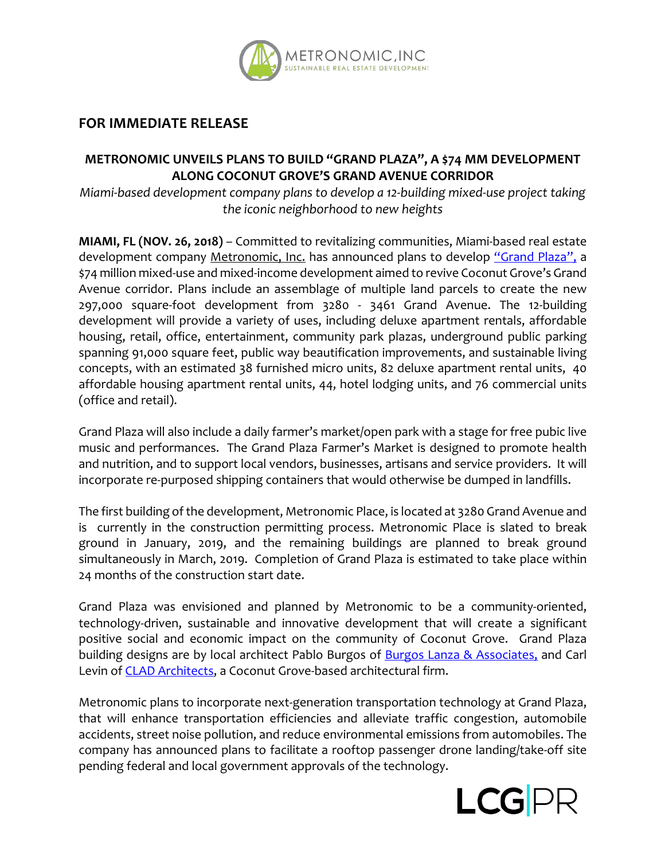

## **FOR IMMEDIATE RELEASE**

## **METRONOMIC UNVEILS PLANS TO BUILD "GRAND PLAZA", A \$74 MM DEVELOPMENT ALONG COCONUT GROVE'S GRAND AVENUE CORRIDOR**

*Miami-based development company plans to develop a 12-building mixed-use project taking the iconic neighborhood to new heights* 

**MIAMI, FL (NOV. 26, 2018)** – Committed to revitalizing communities, Miami-based real estate development company Metronomic, Inc. has announced plans to develop "Grand Plaza", a \$74 million mixed-use and mixed-income development aimed to revive Coconut Grove's Grand Avenue corridor. Plans include an assemblage of multiple land parcels to create the new 297,000 square-foot development from 3280 - 3461 Grand Avenue. The 12-building development will provide a variety of uses, including deluxe apartment rentals, affordable housing, retail, office, entertainment, community park plazas, underground public parking spanning 91,000 square feet, public way beautification improvements, and sustainable living concepts, with an estimated 38 furnished micro units, 82 deluxe apartment rental units, 40 affordable housing apartment rental units, 44, hotel lodging units, and 76 commercial units (office and retail).

Grand Plaza will also include a daily farmer's market/open park with a stage for free pubic live music and performances. The Grand Plaza Farmer's Market is designed to promote health and nutrition, and to support local vendors, businesses, artisans and service providers. It will incorporate re-purposed shipping containers that would otherwise be dumped in landfills.

The first building of the development, Metronomic Place, is located at 3280 Grand Avenue and is currently in the construction permitting process. Metronomic Place is slated to break ground in January, 2019, and the remaining buildings are planned to break ground simultaneously in March, 2019. Completion of Grand Plaza is estimated to take place within 24 months of the construction start date.

Grand Plaza was envisioned and planned by Metronomic to be a community-oriented, technology-driven, sustainable and innovative development that will create a significant positive social and economic impact on the community of Coconut Grove. Grand Plaza building designs are by local architect Pablo Burgos of **Burgos Lanza & Associates**, and Carl Levin of CLAD Architects, a Coconut Grove-based architectural firm.

Metronomic plans to incorporate next-generation transportation technology at Grand Plaza, that will enhance transportation efficiencies and alleviate traffic congestion, automobile accidents, street noise pollution, and reduce environmental emissions from automobiles. The company has announced plans to facilitate a rooftop passenger drone landing/take-off site pending federal and local government approvals of the technology.

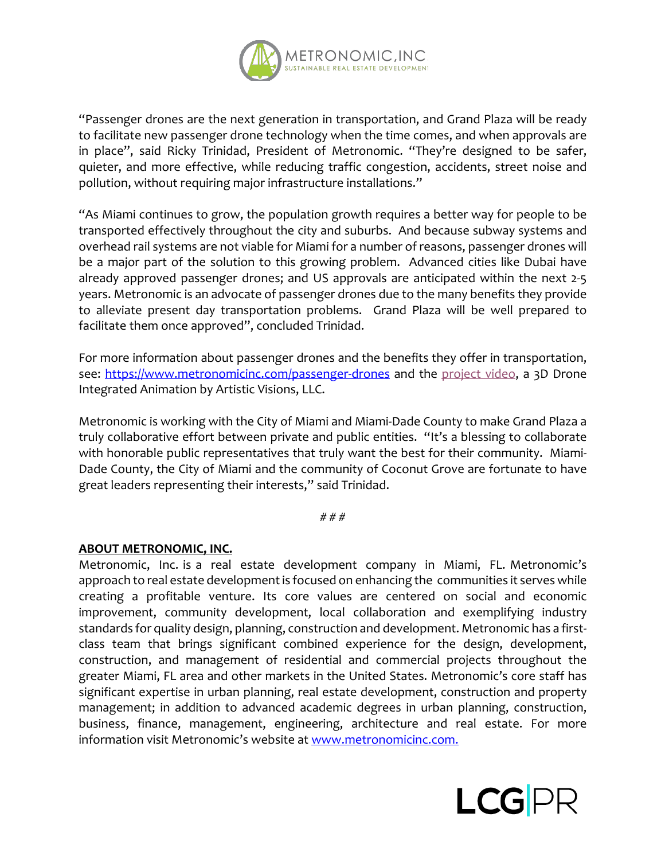

"Passenger drones are the next generation in transportation, and Grand Plaza will be ready to facilitate new passenger drone technology when the time comes, and when approvals are in place", said Ricky Trinidad, President of Metronomic. "They're designed to be safer, quieter, and more effective, while reducing traffic congestion, accidents, street noise and pollution, without requiring major infrastructure installations."

"As Miami continues to grow, the population growth requires a better way for people to be transported effectively throughout the city and suburbs. And because subway systems and overhead rail systems are not viable for Miami for a number of reasons, passenger drones will be a major part of the solution to this growing problem. Advanced cities like Dubai have already approved passenger drones; and US approvals are anticipated within the next 2-5 years. Metronomic is an advocate of passenger drones due to the many benefits they provide to alleviate present day transportation problems. Grand Plaza will be well prepared to facilitate them once approved", concluded Trinidad.

For more information about passenger drones and the benefits they offer in transportation, see: https://www.metronomicinc.com/passenger-drones and the project video, a 3D Drone Integrated Animation by Artistic Visions, LLC.

Metronomic is working with the City of Miami and Miami-Dade County to make Grand Plaza a truly collaborative effort between private and public entities. "It's a blessing to collaborate with honorable public representatives that truly want the best for their community. Miami-Dade County, the City of Miami and the community of Coconut Grove are fortunate to have great leaders representing their interests," said Trinidad.

# # #

## **ABOUT METRONOMIC, INC.**

Metronomic, Inc. is a real estate development company in Miami, FL. Metronomic's approach to real estate development is focused on enhancing the communities it serves while creating a profitable venture. Its core values are centered on social and economic improvement, community development, local collaboration and exemplifying industry standards for quality design, planning, construction and development. Metronomic has a firstclass team that brings significant combined experience for the design, development, construction, and management of residential and commercial projects throughout the greater Miami, FL area and other markets in the United States. Metronomic's core staff has significant expertise in urban planning, real estate development, construction and property management; in addition to advanced academic degrees in urban planning, construction, business, finance, management, engineering, architecture and real estate. For more information visit Metronomic's website at www.metronomicinc.com.